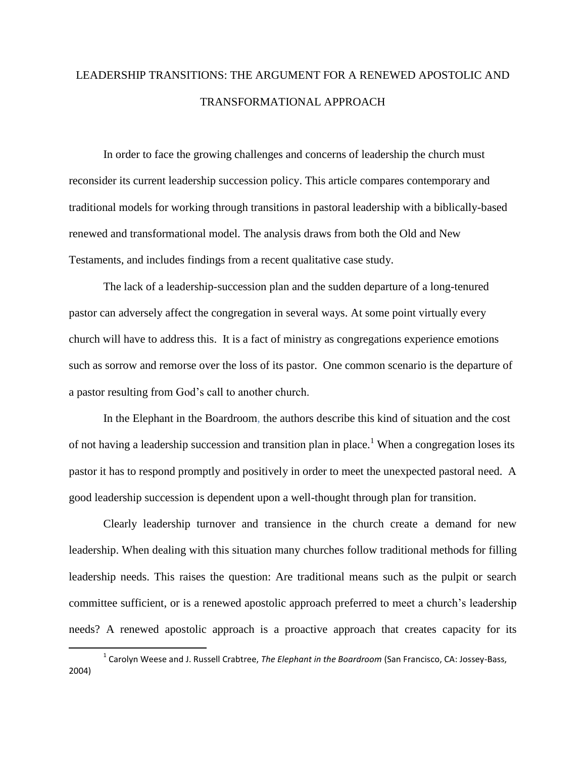# LEADERSHIP TRANSITIONS: THE ARGUMENT FOR A RENEWED APOSTOLIC AND TRANSFORMATIONAL APPROACH

In order to face the growing challenges and concerns of leadership the church must reconsider its current leadership succession policy. This article compares contemporary and traditional models for working through transitions in pastoral leadership with a biblically-based renewed and transformational model. The analysis draws from both the Old and New Testaments, and includes findings from a recent qualitative case study.

The lack of a leadership-succession plan and the sudden departure of a long-tenured pastor can adversely affect the congregation in several ways. At some point virtually every church will have to address this. It is a fact of ministry as congregations experience emotions such as sorrow and remorse over the loss of its pastor. One common scenario is the departure of a pastor resulting from God's call to another church.

In the Elephant in the Boardroom, the authors describe this kind of situation and the cost of not having a leadership succession and transition plan in place.<sup>1</sup> When a congregation loses its pastor it has to respond promptly and positively in order to meet the unexpected pastoral need. A good leadership succession is dependent upon a well-thought through plan for transition.

Clearly leadership turnover and transience in the church create a demand for new leadership. When dealing with this situation many churches follow traditional methods for filling leadership needs. This raises the question: Are traditional means such as the pulpit or search committee sufficient, or is a renewed apostolic approach preferred to meet a church's leadership needs? A renewed apostolic approach is a proactive approach that creates capacity for its

 $\overline{\phantom{a}}$ 

<sup>1</sup> Carolyn Weese and J. Russell Crabtree, *The Elephant in the Boardroom* (San Francisco, CA: Jossey-Bass, 2004)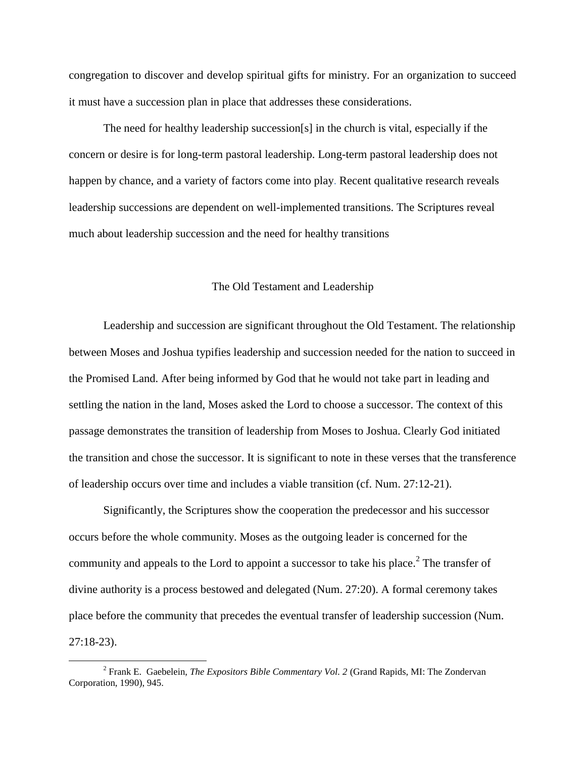congregation to discover and develop spiritual gifts for ministry. For an organization to succeed it must have a succession plan in place that addresses these considerations.

The need for healthy leadership succession[s] in the church is vital, especially if the concern or desire is for long-term pastoral leadership. Long-term pastoral leadership does not happen by chance, and a variety of factors come into play. Recent qualitative research reveals leadership successions are dependent on well-implemented transitions. The Scriptures reveal much about leadership succession and the need for healthy transitions

# The Old Testament and Leadership

Leadership and succession are significant throughout the Old Testament. The relationship between Moses and Joshua typifies leadership and succession needed for the nation to succeed in the Promised Land. After being informed by God that he would not take part in leading and settling the nation in the land, Moses asked the Lord to choose a successor. The context of this passage demonstrates the transition of leadership from Moses to Joshua. Clearly God initiated the transition and chose the successor. It is significant to note in these verses that the transference of leadership occurs over time and includes a viable transition (cf. Num. 27:12-21).

Significantly, the Scriptures show the cooperation the predecessor and his successor occurs before the whole community. Moses as the outgoing leader is concerned for the community and appeals to the Lord to appoint a successor to take his place.<sup>2</sup> The transfer of divine authority is a process bestowed and delegated (Num. 27:20). A formal ceremony takes place before the community that precedes the eventual transfer of leadership succession (Num. 27:18-23).

 $\overline{\phantom{a}}$ 

<sup>2</sup> Frank E. Gaebelein, *The Expositors Bible Commentary Vol. 2* (Grand Rapids, MI: The Zondervan Corporation, 1990), 945.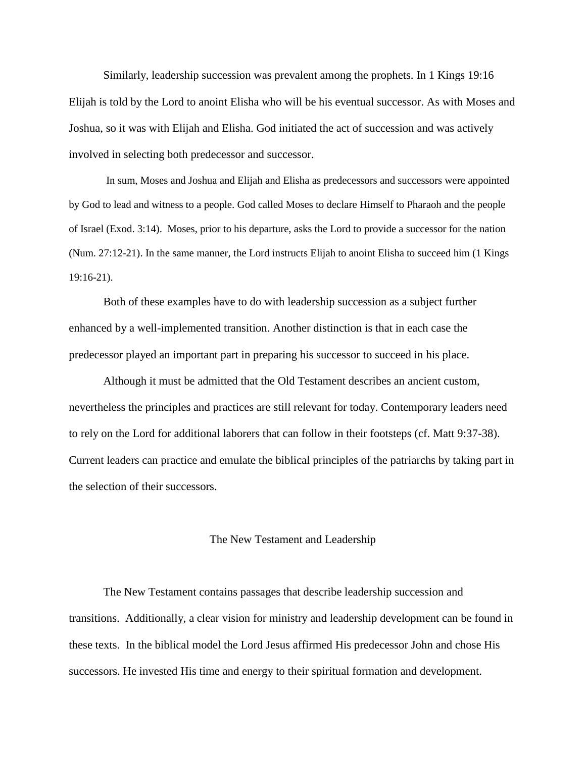Similarly, leadership succession was prevalent among the prophets. In 1 Kings 19:16 Elijah is told by the Lord to anoint Elisha who will be his eventual successor. As with Moses and Joshua, so it was with Elijah and Elisha. God initiated the act of succession and was actively involved in selecting both predecessor and successor.

In sum, Moses and Joshua and Elijah and Elisha as predecessors and successors were appointed by God to lead and witness to a people. God called Moses to declare Himself to Pharaoh and the people of Israel (Exod. 3:14). Moses, prior to his departure, asks the Lord to provide a successor for the nation (Num. 27:12-21). In the same manner, the Lord instructs Elijah to anoint Elisha to succeed him (1 Kings 19:16-21).

Both of these examples have to do with leadership succession as a subject further enhanced by a well-implemented transition. Another distinction is that in each case the predecessor played an important part in preparing his successor to succeed in his place.

Although it must be admitted that the Old Testament describes an ancient custom, nevertheless the principles and practices are still relevant for today. Contemporary leaders need to rely on the Lord for additional laborers that can follow in their footsteps (cf. Matt 9:37-38). Current leaders can practice and emulate the biblical principles of the patriarchs by taking part in the selection of their successors.

#### The New Testament and Leadership

The New Testament contains passages that describe leadership succession and transitions. Additionally, a clear vision for ministry and leadership development can be found in these texts. In the biblical model the Lord Jesus affirmed His predecessor John and chose His successors. He invested His time and energy to their spiritual formation and development.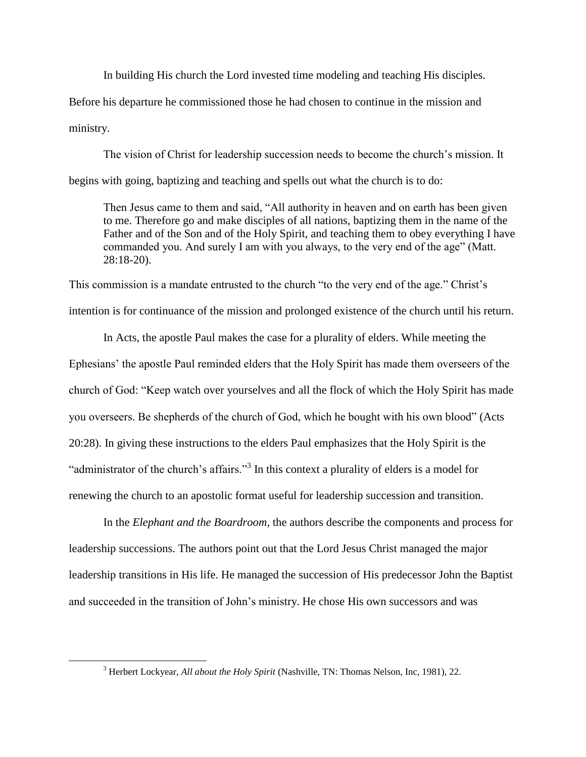In building His church the Lord invested time modeling and teaching His disciples.

Before his departure he commissioned those he had chosen to continue in the mission and ministry.

The vision of Christ for leadership succession needs to become the church's mission. It begins with going, baptizing and teaching and spells out what the church is to do:

Then Jesus came to them and said, "All authority in heaven and on earth has been given to me. Therefore go and make disciples of all nations, baptizing them in the name of the Father and of the Son and of the Holy Spirit, and teaching them to obey everything I have commanded you. And surely I am with you always, to the very end of the age" (Matt. 28:18-20).

This commission is a mandate entrusted to the church "to the very end of the age." Christ's intention is for continuance of the mission and prolonged existence of the church until his return.

In Acts, the apostle Paul makes the case for a plurality of elders. While meeting the Ephesians' the apostle Paul reminded elders that the Holy Spirit has made them overseers of the church of God: "Keep watch over yourselves and all the flock of which the Holy Spirit has made you overseers. Be shepherds of the church of God, which he bought with his own blood" (Acts 20:28). In giving these instructions to the elders Paul emphasizes that the Holy Spirit is the "administrator of the church's affairs."<sup>3</sup> In this context a plurality of elders is a model for renewing the church to an apostolic format useful for leadership succession and transition.

In the *Elephant and the Boardroom*, the authors describe the components and process for leadership successions. The authors point out that the Lord Jesus Christ managed the major leadership transitions in His life. He managed the succession of His predecessor John the Baptist and succeeded in the transition of John's ministry. He chose His own successors and was

 $\overline{\phantom{a}}$ 

<sup>3</sup> Herbert Lockyear, *All about the Holy Spirit* (Nashville, TN: Thomas Nelson, Inc, 1981), 22.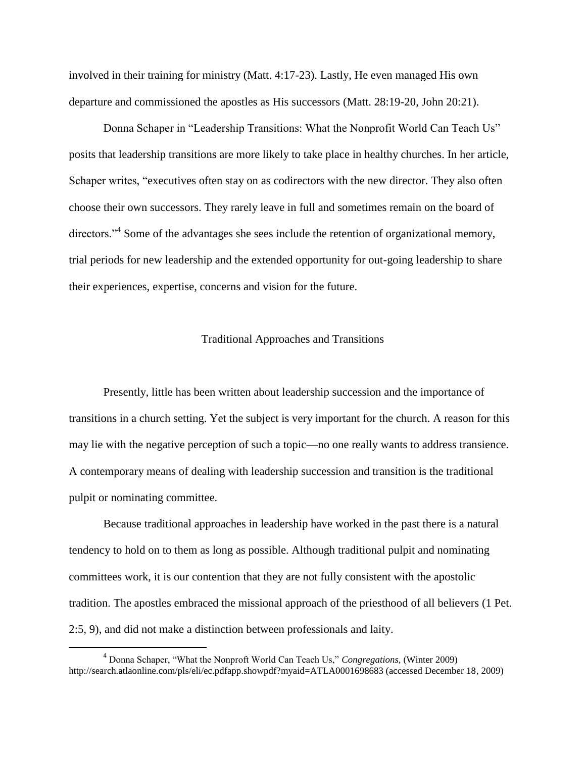involved in their training for ministry (Matt. 4:17-23). Lastly, He even managed His own departure and commissioned the apostles as His successors (Matt. 28:19-20, John 20:21).

Donna Schaper in "Leadership Transitions: What the Nonprofit World Can Teach Us" posits that leadership transitions are more likely to take place in healthy churches. In her article, Schaper writes, "executives often stay on as codirectors with the new director. They also often choose their own successors. They rarely leave in full and sometimes remain on the board of directors."<sup>4</sup> Some of the advantages she sees include the retention of organizational memory, trial periods for new leadership and the extended opportunity for out-going leadership to share their experiences, expertise, concerns and vision for the future.

# Traditional Approaches and Transitions

Presently, little has been written about leadership succession and the importance of transitions in a church setting. Yet the subject is very important for the church. A reason for this may lie with the negative perception of such a topic—no one really wants to address transience. A contemporary means of dealing with leadership succession and transition is the traditional pulpit or nominating committee.

Because traditional approaches in leadership have worked in the past there is a natural tendency to hold on to them as long as possible. Although traditional pulpit and nominating committees work, it is our contention that they are not fully consistent with the apostolic tradition. The apostles embraced the missional approach of the priesthood of all believers (1 Pet. 2:5, 9), and did not make a distinction between professionals and laity.

l

<sup>4</sup> Donna Schaper, "What the Nonproft World Can Teach Us," *Congregations*, (Winter 2009) http://search.atlaonline.com/pls/eli/ec.pdfapp.showpdf?myaid=ATLA0001698683 (accessed December 18, 2009)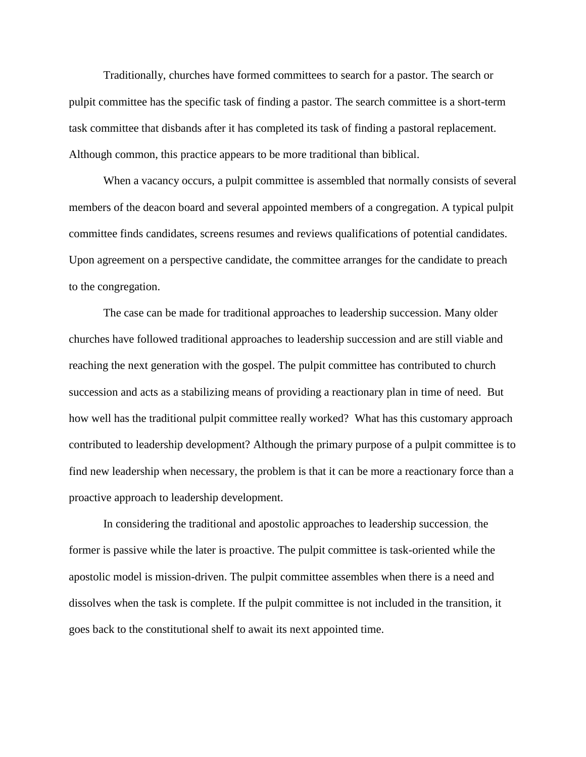Traditionally, churches have formed committees to search for a pastor. The search or pulpit committee has the specific task of finding a pastor. The search committee is a short-term task committee that disbands after it has completed its task of finding a pastoral replacement. Although common, this practice appears to be more traditional than biblical.

When a vacancy occurs, a pulpit committee is assembled that normally consists of several members of the deacon board and several appointed members of a congregation. A typical pulpit committee finds candidates, screens resumes and reviews qualifications of potential candidates. Upon agreement on a perspective candidate, the committee arranges for the candidate to preach to the congregation.

The case can be made for traditional approaches to leadership succession. Many older churches have followed traditional approaches to leadership succession and are still viable and reaching the next generation with the gospel. The pulpit committee has contributed to church succession and acts as a stabilizing means of providing a reactionary plan in time of need. But how well has the traditional pulpit committee really worked? What has this customary approach contributed to leadership development? Although the primary purpose of a pulpit committee is to find new leadership when necessary, the problem is that it can be more a reactionary force than a proactive approach to leadership development.

In considering the traditional and apostolic approaches to leadership succession, the former is passive while the later is proactive. The pulpit committee is task-oriented while the apostolic model is mission-driven. The pulpit committee assembles when there is a need and dissolves when the task is complete. If the pulpit committee is not included in the transition, it goes back to the constitutional shelf to await its next appointed time.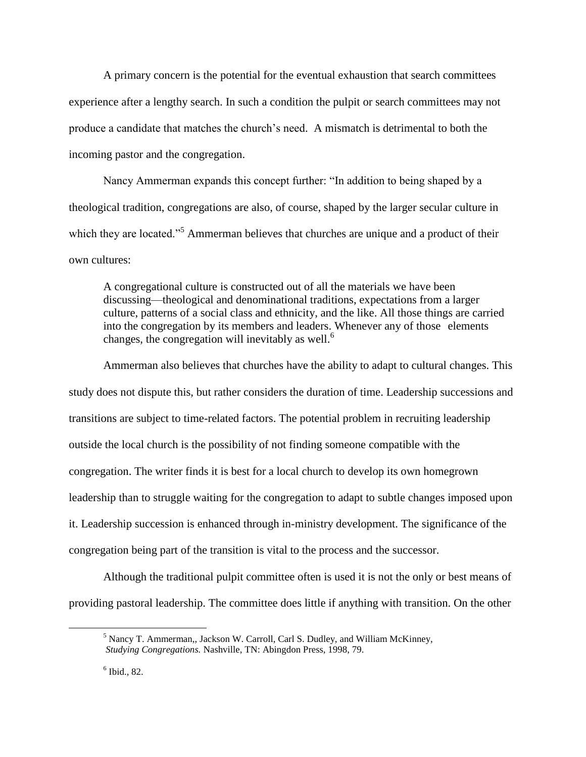A primary concern is the potential for the eventual exhaustion that search committees experience after a lengthy search. In such a condition the pulpit or search committees may not produce a candidate that matches the church's need. A mismatch is detrimental to both the incoming pastor and the congregation.

Nancy Ammerman expands this concept further: "In addition to being shaped by a theological tradition, congregations are also, of course, shaped by the larger secular culture in which they are located."<sup>5</sup> Ammerman believes that churches are unique and a product of their own cultures:

A congregational culture is constructed out of all the materials we have been discussing—theological and denominational traditions, expectations from a larger culture, patterns of a social class and ethnicity, and the like. All those things are carried into the congregation by its members and leaders. Whenever any of those elements changes, the congregation will inevitably as well.<sup>6</sup>

Ammerman also believes that churches have the ability to adapt to cultural changes. This study does not dispute this, but rather considers the duration of time. Leadership successions and transitions are subject to time-related factors. The potential problem in recruiting leadership outside the local church is the possibility of not finding someone compatible with the congregation. The writer finds it is best for a local church to develop its own homegrown leadership than to struggle waiting for the congregation to adapt to subtle changes imposed upon it. Leadership succession is enhanced through in-ministry development. The significance of the congregation being part of the transition is vital to the process and the successor.

Although the traditional pulpit committee often is used it is not the only or best means of providing pastoral leadership. The committee does little if anything with transition. On the other

 $\overline{a}$ 

<sup>5</sup> Nancy T. Ammerman,, Jackson W. Carroll, Carl S. Dudley, and William McKinney, *Studying Congregations.* Nashville, TN: Abingdon Press, 1998, 79.

<sup>6</sup> Ibid., 82.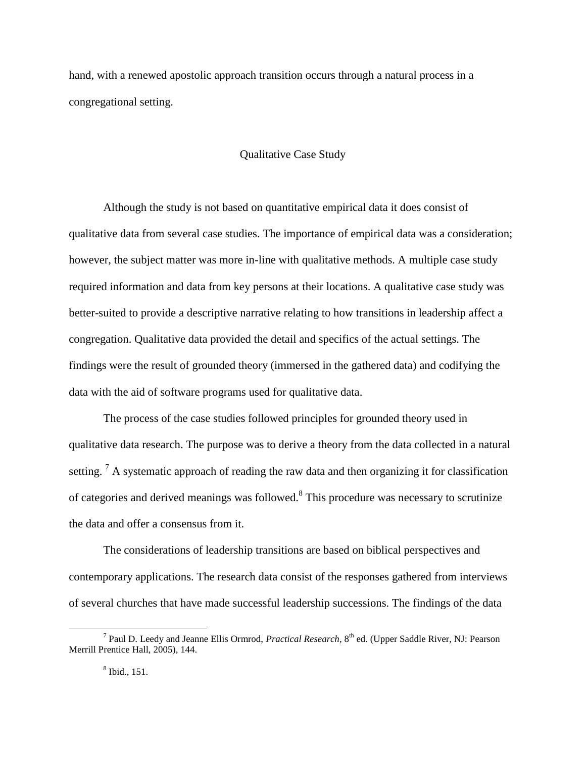hand, with a renewed apostolic approach transition occurs through a natural process in a congregational setting.

# Qualitative Case Study

Although the study is not based on quantitative empirical data it does consist of qualitative data from several case studies. The importance of empirical data was a consideration; however, the subject matter was more in-line with qualitative methods. A multiple case study required information and data from key persons at their locations. A qualitative case study was better-suited to provide a descriptive narrative relating to how transitions in leadership affect a congregation. Qualitative data provided the detail and specifics of the actual settings. The findings were the result of grounded theory (immersed in the gathered data) and codifying the data with the aid of software programs used for qualitative data.

The process of the case studies followed principles for grounded theory used in qualitative data research. The purpose was to derive a theory from the data collected in a natural setting. <sup>7</sup> A systematic approach of reading the raw data and then organizing it for classification of categories and derived meanings was followed. $8$  This procedure was necessary to scrutinize the data and offer a consensus from it.

The considerations of leadership transitions are based on biblical perspectives and contemporary applications. The research data consist of the responses gathered from interviews of several churches that have made successful leadership successions. The findings of the data

 $\overline{a}$ 

<sup>7</sup> Paul D. Leedy and Jeanne Ellis Ormrod, *Practical Research,* 8 th ed. (Upper Saddle River, NJ: Pearson Merrill Prentice Hall, 2005), 144.

<sup>8</sup> Ibid., 151.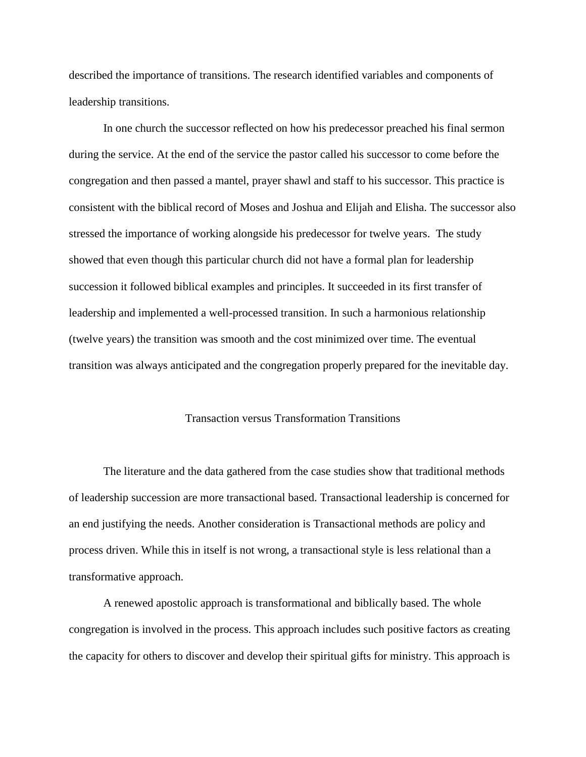described the importance of transitions. The research identified variables and components of leadership transitions.

In one church the successor reflected on how his predecessor preached his final sermon during the service. At the end of the service the pastor called his successor to come before the congregation and then passed a mantel, prayer shawl and staff to his successor. This practice is consistent with the biblical record of Moses and Joshua and Elijah and Elisha. The successor also stressed the importance of working alongside his predecessor for twelve years. The study showed that even though this particular church did not have a formal plan for leadership succession it followed biblical examples and principles. It succeeded in its first transfer of leadership and implemented a well-processed transition. In such a harmonious relationship (twelve years) the transition was smooth and the cost minimized over time. The eventual transition was always anticipated and the congregation properly prepared for the inevitable day.

### Transaction versus Transformation Transitions

The literature and the data gathered from the case studies show that traditional methods of leadership succession are more transactional based. Transactional leadership is concerned for an end justifying the needs. Another consideration is Transactional methods are policy and process driven. While this in itself is not wrong, a transactional style is less relational than a transformative approach.

A renewed apostolic approach is transformational and biblically based. The whole congregation is involved in the process. This approach includes such positive factors as creating the capacity for others to discover and develop their spiritual gifts for ministry. This approach is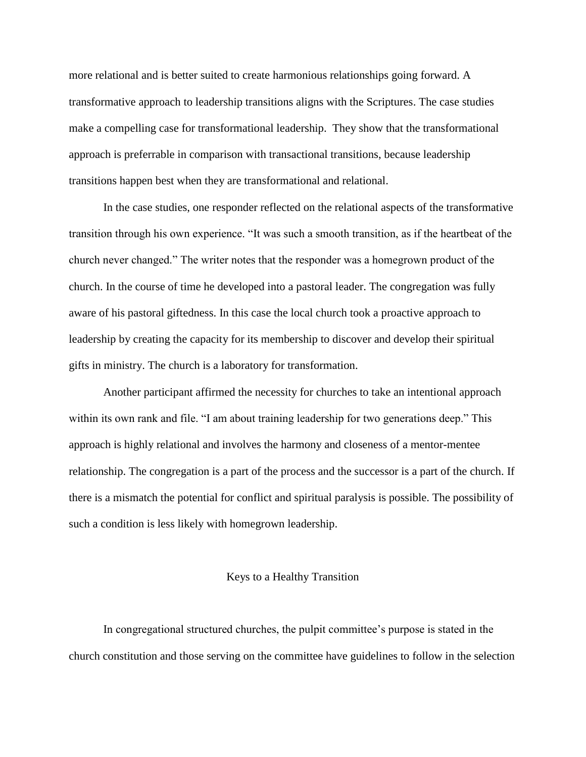more relational and is better suited to create harmonious relationships going forward. A transformative approach to leadership transitions aligns with the Scriptures. The case studies make a compelling case for transformational leadership. They show that the transformational approach is preferrable in comparison with transactional transitions, because leadership transitions happen best when they are transformational and relational.

In the case studies, one responder reflected on the relational aspects of the transformative transition through his own experience. "It was such a smooth transition, as if the heartbeat of the church never changed." The writer notes that the responder was a homegrown product of the church. In the course of time he developed into a pastoral leader. The congregation was fully aware of his pastoral giftedness. In this case the local church took a proactive approach to leadership by creating the capacity for its membership to discover and develop their spiritual gifts in ministry. The church is a laboratory for transformation.

Another participant affirmed the necessity for churches to take an intentional approach within its own rank and file. "I am about training leadership for two generations deep." This approach is highly relational and involves the harmony and closeness of a mentor-mentee relationship. The congregation is a part of the process and the successor is a part of the church. If there is a mismatch the potential for conflict and spiritual paralysis is possible. The possibility of such a condition is less likely with homegrown leadership.

## Keys to a Healthy Transition

In congregational structured churches, the pulpit committee's purpose is stated in the church constitution and those serving on the committee have guidelines to follow in the selection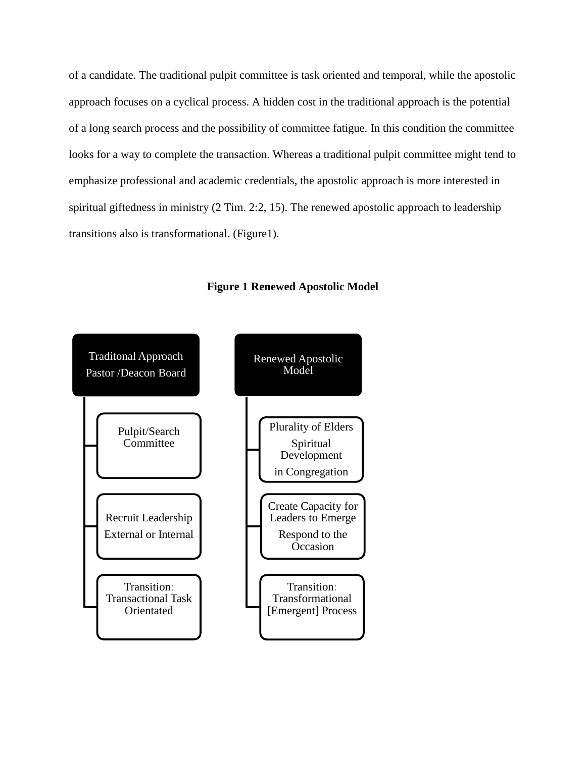of a candidate. The traditional pulpit committee is task oriented and temporal, while the apostolic approach focuses on a cyclical process. A hidden cost in the traditional approach is the potential of a long search process and the possibility of committee fatigue. In this condition the committee looks for a way to complete the transaction. Whereas a traditional pulpit committee might tend to emphasize professional and academic credentials, the apostolic approach is more interested in spiritual giftedness in ministry (2 Tim. 2:2, 15). The renewed apostolic approach to leadership transitions also is transformational. (Figure1).



**Figure 1 Renewed Apostolic Model**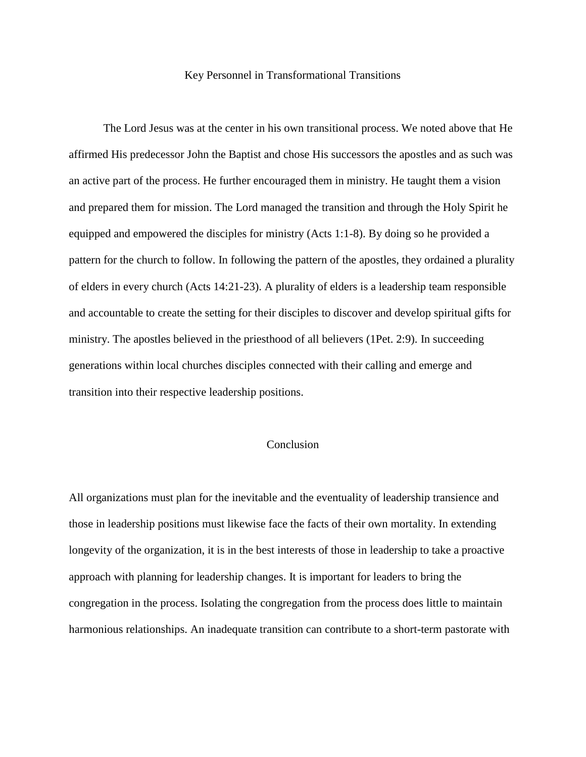#### Key Personnel in Transformational Transitions

The Lord Jesus was at the center in his own transitional process. We noted above that He affirmed His predecessor John the Baptist and chose His successors the apostles and as such was an active part of the process. He further encouraged them in ministry. He taught them a vision and prepared them for mission. The Lord managed the transition and through the Holy Spirit he equipped and empowered the disciples for ministry (Acts 1:1-8). By doing so he provided a pattern for the church to follow. In following the pattern of the apostles, they ordained a plurality of elders in every church (Acts 14:21-23). A plurality of elders is a leadership team responsible and accountable to create the setting for their disciples to discover and develop spiritual gifts for ministry. The apostles believed in the priesthood of all believers (1Pet. 2:9). In succeeding generations within local churches disciples connected with their calling and emerge and transition into their respective leadership positions.

## Conclusion

All organizations must plan for the inevitable and the eventuality of leadership transience and those in leadership positions must likewise face the facts of their own mortality. In extending longevity of the organization, it is in the best interests of those in leadership to take a proactive approach with planning for leadership changes. It is important for leaders to bring the congregation in the process. Isolating the congregation from the process does little to maintain harmonious relationships. An inadequate transition can contribute to a short-term pastorate with